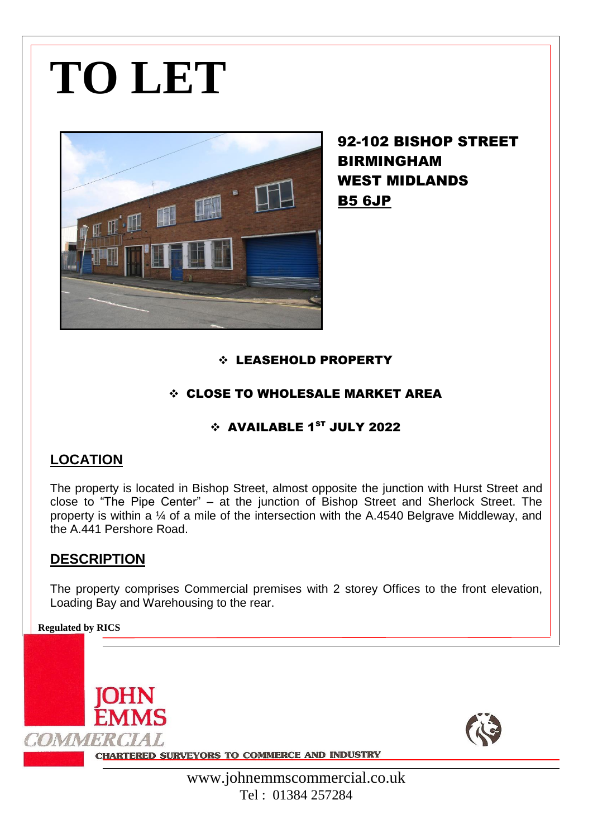# **TO LET**



92-102 BISHOP STREET BIRMINGHAM WEST MIDLANDS B5 6JP

### LEASEHOLD PROPERTY

### CLOSE TO WHOLESALE MARKET AREA

## $\div$  AVAILABLE 1<sup>ST</sup> JULY 2022

# **LOCATION**

The property is located in Bishop Street, almost opposite the junction with Hurst Street and close to "The Pipe Center" – at the junction of Bishop Street and Sherlock Street. The property is within a ¼ of a mile of the intersection with the A.4540 Belgrave Middleway, and the A.441 Pershore Road.

# **DESCRIPTION**

The property comprises Commercial premises with 2 storey Offices to the front elevation, Loading Bay and Warehousing to the rear.

**Regulated by RICS**

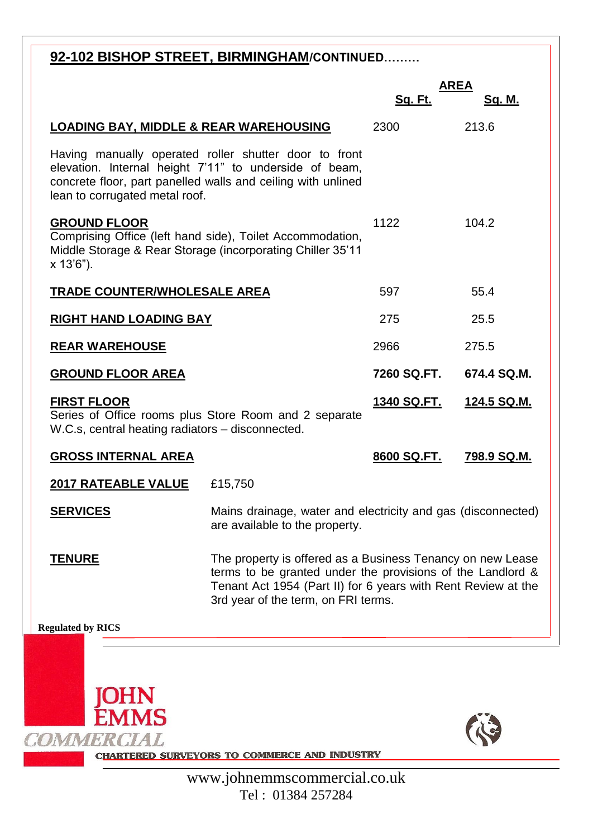| 92-102 BISHOP STREET, BIRMINGHAM/CONTINUED                                                                                                                                                                        |                                                                                                                                                                                                                                  |                    |                       |
|-------------------------------------------------------------------------------------------------------------------------------------------------------------------------------------------------------------------|----------------------------------------------------------------------------------------------------------------------------------------------------------------------------------------------------------------------------------|--------------------|-----------------------|
|                                                                                                                                                                                                                   |                                                                                                                                                                                                                                  | <u>Sq. Ft.</u>     | <b>AREA</b><br>Sq. M. |
| <b>LOADING BAY, MIDDLE &amp; REAR WAREHOUSING</b>                                                                                                                                                                 |                                                                                                                                                                                                                                  | 2300               | 213.6                 |
| Having manually operated roller shutter door to front<br>elevation. Internal height 7'11" to underside of beam,<br>concrete floor, part panelled walls and ceiling with unlined<br>lean to corrugated metal roof. |                                                                                                                                                                                                                                  |                    |                       |
| <b>GROUND FLOOR</b><br>Comprising Office (left hand side), Toilet Accommodation,<br>Middle Storage & Rear Storage (incorporating Chiller 35'11<br>x 13'6").                                                       |                                                                                                                                                                                                                                  | 1122               | 104.2                 |
| <b>TRADE COUNTER/WHOLESALE AREA</b>                                                                                                                                                                               |                                                                                                                                                                                                                                  | 597                | 55.4                  |
| <b>RIGHT HAND LOADING BAY</b>                                                                                                                                                                                     |                                                                                                                                                                                                                                  | 275                | 25.5                  |
| <b>REAR WAREHOUSE</b>                                                                                                                                                                                             |                                                                                                                                                                                                                                  | 2966               | 275.5                 |
| <b>GROUND FLOOR AREA</b>                                                                                                                                                                                          |                                                                                                                                                                                                                                  | 7260 SQ.FT.        | 674.4 SQ.M.           |
| <b>FIRST FLOOR</b><br>Series of Office rooms plus Store Room and 2 separate<br>W.C.s, central heating radiators - disconnected.                                                                                   |                                                                                                                                                                                                                                  | <u>1340 SQ.FT.</u> | <u>124.5 SQ.M.</u>    |
| <b>GROSS INTERNAL AREA</b>                                                                                                                                                                                        |                                                                                                                                                                                                                                  | 8600 SQ.FT.        | 798.9 SQ.M.           |
| <b>2017 RATEABLE VALUE</b>                                                                                                                                                                                        | £15,750                                                                                                                                                                                                                          |                    |                       |
| <b>SERVICES</b>                                                                                                                                                                                                   | Mains drainage, water and electricity and gas (disconnected)<br>are available to the property.                                                                                                                                   |                    |                       |
| <u>TENURE</u>                                                                                                                                                                                                     | The property is offered as a Business Tenancy on new Lease<br>terms to be granted under the provisions of the Landlord &<br>Tenant Act 1954 (Part II) for 6 years with Rent Review at the<br>3rd year of the term, on FRI terms. |                    |                       |
| <b>Regulated by RICS</b>                                                                                                                                                                                          |                                                                                                                                                                                                                                  |                    |                       |
|                                                                                                                                                                                                                   |                                                                                                                                                                                                                                  |                    |                       |



**JOHN<br>EMMS** 

RE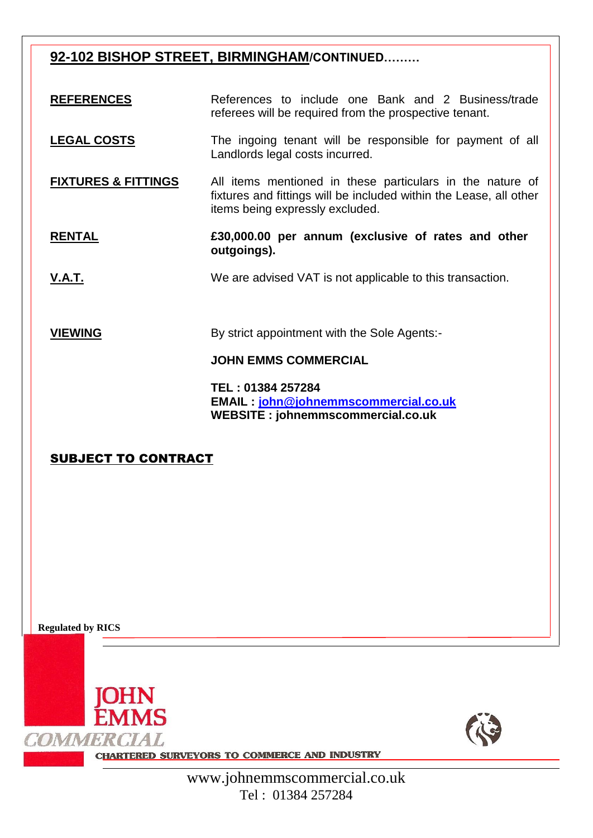# **92-102 BISHOP STREET, BIRMINGHAM/CONTINUED………**

**REFERENCES** References to include one Bank and 2 Business/trade referees will be required from the prospective tenant.

- **LEGAL COSTS** The ingoing tenant will be responsible for payment of all Landlords legal costs incurred.
- **FIXTURES & FITTINGS** All items mentioned in these particulars in the nature of fixtures and fittings will be included within the Lease, all other items being expressly excluded.
- **RENTAL £30,000.00 per annum (exclusive of rates and other outgoings).**
- **V.A.T.** We are advised VAT is not applicable to this transaction.

**VIEWING** By strict appointment with the Sole Agents:-

#### **JOHN EMMS COMMERCIAL**

**TEL : 01384 257284 EMAIL : [john@johnemmscommercial.co.uk](mailto:john@johnemmscommercial.co.uk) WEBSITE : johnemmscommercial.co.uk** 

### SUBJECT TO CONTRACT

**Regulated by RICS**





**CHARTERED SURVEYORS TO COMMERCE AND INDUSTRY**